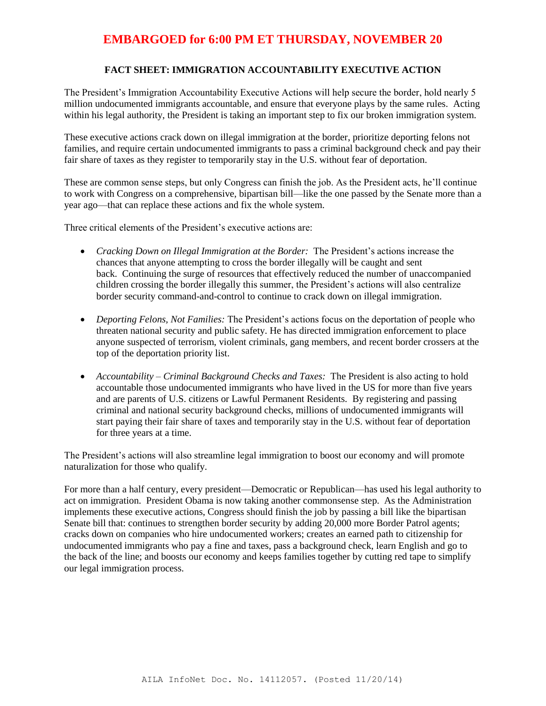#### **FACT SHEET: IMMIGRATION ACCOUNTABILITY EXECUTIVE ACTION**

The President's Immigration Accountability Executive Actions will help secure the border, hold nearly 5 million undocumented immigrants accountable, and ensure that everyone plays by the same rules. Acting within his legal authority, the President is taking an important step to fix our broken immigration system.

These executive actions crack down on illegal immigration at the border, prioritize deporting felons not families, and require certain undocumented immigrants to pass a criminal background check and pay their fair share of taxes as they register to temporarily stay in the U.S. without fear of deportation.

These are common sense steps, but only Congress can finish the job. As the President acts, he'll continue to work with Congress on a comprehensive, bipartisan bill—like the one passed by the Senate more than a year ago—that can replace these actions and fix the whole system.

Three critical elements of the President's executive actions are:

- *Cracking Down on Illegal Immigration at the Border:* The President's actions increase the chances that anyone attempting to cross the border illegally will be caught and sent back. Continuing the surge of resources that effectively reduced the number of unaccompanied children crossing the border illegally this summer, the President's actions will also centralize border security command-and-control to continue to crack down on illegal immigration.
- *Deporting Felons, Not Families:* The President's actions focus on the deportation of people who threaten national security and public safety. He has directed immigration enforcement to place anyone suspected of terrorism, violent criminals, gang members, and recent border crossers at the top of the deportation priority list.
- *Accountability – Criminal Background Checks and Taxes:* The President is also acting to hold accountable those undocumented immigrants who have lived in the US for more than five years and are parents of U.S. citizens or Lawful Permanent Residents. By registering and passing criminal and national security background checks, millions of undocumented immigrants will start paying their fair share of taxes and temporarily stay in the U.S. without fear of deportation for three years at a time.

The President's actions will also streamline legal immigration to boost our economy and will promote naturalization for those who qualify.

For more than a half century, every president—Democratic or Republican—has used his legal authority to act on immigration. President Obama is now taking another commonsense step. As the Administration implements these executive actions, Congress should finish the job by passing a bill like the bipartisan Senate bill that: continues to strengthen border security by adding 20,000 more Border Patrol agents; cracks down on companies who hire undocumented workers; creates an earned path to citizenship for undocumented immigrants who pay a fine and taxes, pass a background check, learn English and go to the back of the line; and boosts our economy and keeps families together by cutting red tape to simplify our legal immigration process.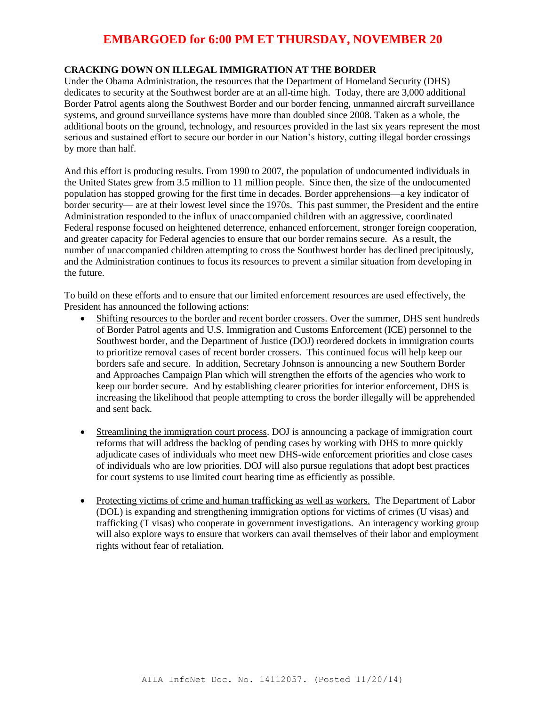### **CRACKING DOWN ON ILLEGAL IMMIGRATION AT THE BORDER**

Under the Obama Administration, the resources that the Department of Homeland Security (DHS) dedicates to security at the Southwest border are at an all-time high. Today, there are 3,000 additional Border Patrol agents along the Southwest Border and our border fencing, unmanned aircraft surveillance systems, and ground surveillance systems have more than doubled since 2008. Taken as a whole, the additional boots on the ground, technology, and resources provided in the last six years represent the most serious and sustained effort to secure our border in our Nation's history, cutting illegal border crossings by more than half.

And this effort is producing results. From 1990 to 2007, the population of undocumented individuals in the United States grew from 3.5 million to 11 million people. Since then, the size of the undocumented population has stopped growing for the first time in decades. Border apprehensions—a key indicator of border security— are at their lowest level since the 1970s. This past summer, the President and the entire Administration responded to the influx of unaccompanied children with an aggressive, coordinated Federal response focused on heightened deterrence, enhanced enforcement, stronger foreign cooperation, and greater capacity for Federal agencies to ensure that our border remains secure. As a result, the number of unaccompanied children attempting to cross the Southwest border has declined precipitously, and the Administration continues to focus its resources to prevent a similar situation from developing in the future.

To build on these efforts and to ensure that our limited enforcement resources are used effectively, the President has announced the following actions:

- Shifting resources to the border and recent border crossers. Over the summer, DHS sent hundreds of Border Patrol agents and U.S. Immigration and Customs Enforcement (ICE) personnel to the Southwest border, and the Department of Justice (DOJ) reordered dockets in immigration courts to prioritize removal cases of recent border crossers. This continued focus will help keep our borders safe and secure. In addition, Secretary Johnson is announcing a new Southern Border and Approaches Campaign Plan which will strengthen the efforts of the agencies who work to keep our border secure. And by establishing clearer priorities for interior enforcement, DHS is increasing the likelihood that people attempting to cross the border illegally will be apprehended and sent back.
- Streamlining the immigration court process. DOJ is announcing a package of immigration court reforms that will address the backlog of pending cases by working with DHS to more quickly adjudicate cases of individuals who meet new DHS-wide enforcement priorities and close cases of individuals who are low priorities. DOJ will also pursue regulations that adopt best practices for court systems to use limited court hearing time as efficiently as possible.
- Protecting victims of crime and human trafficking as well as workers. The Department of Labor (DOL) is expanding and strengthening immigration options for victims of crimes (U visas) and trafficking (T visas) who cooperate in government investigations. An interagency working group will also explore ways to ensure that workers can avail themselves of their labor and employment rights without fear of retaliation.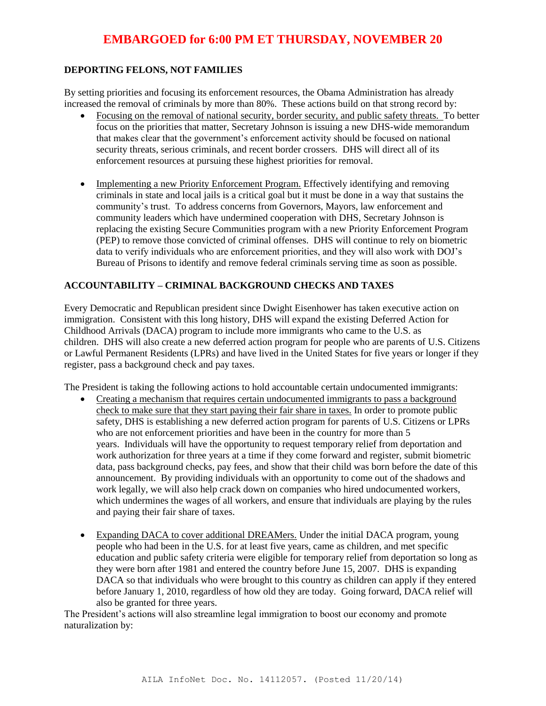#### **DEPORTING FELONS, NOT FAMILIES**

By setting priorities and focusing its enforcement resources, the Obama Administration has already increased the removal of criminals by more than 80%. These actions build on that strong record by:

- Focusing on the removal of national security, border security, and public safety threats. To better focus on the priorities that matter, Secretary Johnson is issuing a new DHS-wide memorandum that makes clear that the government's enforcement activity should be focused on national security threats, serious criminals, and recent border crossers. DHS will direct all of its enforcement resources at pursuing these highest priorities for removal.
- Implementing a new Priority Enforcement Program. Effectively identifying and removing criminals in state and local jails is a critical goal but it must be done in a way that sustains the community's trust. To address concerns from Governors, Mayors, law enforcement and community leaders which have undermined cooperation with DHS, Secretary Johnson is replacing the existing Secure Communities program with a new Priority Enforcement Program (PEP) to remove those convicted of criminal offenses. DHS will continue to rely on biometric data to verify individuals who are enforcement priorities, and they will also work with DOJ's Bureau of Prisons to identify and remove federal criminals serving time as soon as possible.

#### **ACCOUNTABILITY – CRIMINAL BACKGROUND CHECKS AND TAXES**

Every Democratic and Republican president since Dwight Eisenhower has taken executive action on immigration. Consistent with this long history, DHS will expand the existing Deferred Action for Childhood Arrivals (DACA) program to include more immigrants who came to the U.S. as children. DHS will also create a new deferred action program for people who are parents of U.S. Citizens or Lawful Permanent Residents (LPRs) and have lived in the United States for five years or longer if they register, pass a background check and pay taxes.

The President is taking the following actions to hold accountable certain undocumented immigrants:

- Creating a mechanism that requires certain undocumented immigrants to pass a background check to make sure that they start paying their fair share in taxes. In order to promote public safety, DHS is establishing a new deferred action program for parents of U.S. Citizens or LPRs who are not enforcement priorities and have been in the country for more than 5 years. Individuals will have the opportunity to request temporary relief from deportation and work authorization for three years at a time if they come forward and register, submit biometric data, pass background checks, pay fees, and show that their child was born before the date of this announcement. By providing individuals with an opportunity to come out of the shadows and work legally, we will also help crack down on companies who hired undocumented workers, which undermines the wages of all workers, and ensure that individuals are playing by the rules and paying their fair share of taxes.
- Expanding DACA to cover additional DREAMers. Under the initial DACA program, young people who had been in the U.S. for at least five years, came as children, and met specific education and public safety criteria were eligible for temporary relief from deportation so long as they were born after 1981 and entered the country before June 15, 2007. DHS is expanding DACA so that individuals who were brought to this country as children can apply if they entered before January 1, 2010, regardless of how old they are today. Going forward, DACA relief will also be granted for three years.

The President's actions will also streamline legal immigration to boost our economy and promote naturalization by: